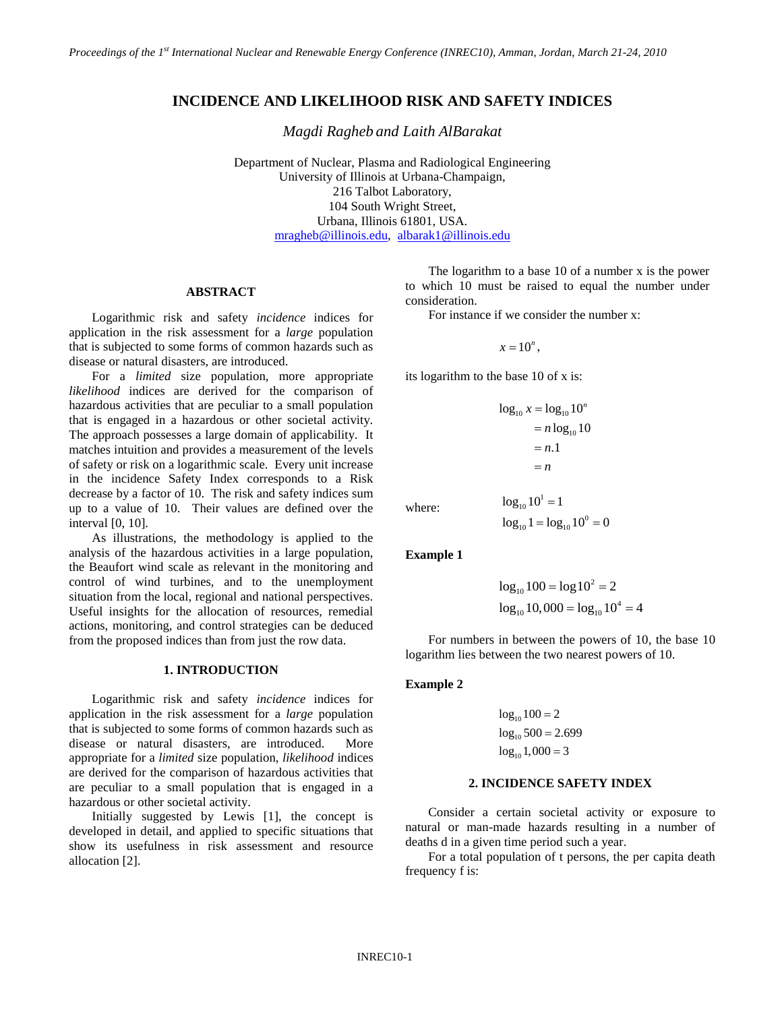# **INCIDENCE AND LIKELIHOOD RISK AND SAFETY INDICES**

*Magdi Ragheb and Laith AlBarakat*

Department of Nuclear, Plasma and Radiological Engineering University of Illinois at Urbana-Champaign, 216 Talbot Laboratory, 104 South Wright Street, Urbana, Illinois 61801, USA. [mragheb@illinois.edu,](mailto:mragheb@illinois.edu) [albarak1@illinois.edu](mailto:albarak1@illinois.edu)

## **ABSTRACT**

Logarithmic risk and safety *incidence* indices for application in the risk assessment for a *large* population that is subjected to some forms of common hazards such as disease or natural disasters, are introduced.

For a *limited* size population, more appropriate *likelihood* indices are derived for the comparison of hazardous activities that are peculiar to a small population that is engaged in a hazardous or other societal activity. The approach possesses a large domain of applicability. It matches intuition and provides a measurement of the levels of safety or risk on a logarithmic scale. Every unit increase in the incidence Safety Index corresponds to a Risk decrease by a factor of 10. The risk and safety indices sum up to a value of 10. Their values are defined over the interval [0, 10].

As illustrations, the methodology is applied to the analysis of the hazardous activities in a large population, the Beaufort wind scale as relevant in the monitoring and control of wind turbines, and to the unemployment situation from the local, regional and national perspectives. Useful insights for the allocation of resources, remedial actions, monitoring, and control strategies can be deduced from the proposed indices than from just the row data.

### **1. INTRODUCTION**

Logarithmic risk and safety *incidence* indices for application in the risk assessment for a *large* population that is subjected to some forms of common hazards such as disease or natural disasters, are introduced. More appropriate for a *limited* size population, *likelihood* indices are derived for the comparison of hazardous activities that are peculiar to a small population that is engaged in a hazardous or other societal activity.

Initially suggested by Lewis [1], the concept is developed in detail, and applied to specific situations that show its usefulness in risk assessment and resource allocation [2].

The logarithm to a base 10 of a number x is the power to which 10 must be raised to equal the number under consideration.

For instance if we consider the number x:

 $x = 10^n$ .

its logarithm to the base 10 of x is:

$$
\log_{10} x = \log_{10} 10^n
$$
  
=  $n \log_{10} 10$   
= *n*.1  
= *n*  

$$
\log_{10} 10^1 = 1
$$

where:

**Example 1**

$$
log_{10} 100 = log 102 = 2
$$
  

$$
log_{10} 10,000 = log_{10} 104 = 4
$$

 $\log_{10} 1 = \log_{10} 10^0 = 0$ 

For numbers in between the powers of 10, the base 10 logarithm lies between the two nearest powers of 10.

#### **Example 2**

$$
log10 100 = 2
$$
  

$$
log10 500 = 2.699
$$
  

$$
log10 1,000 = 3
$$

## **2. INCIDENCE SAFETY INDEX**

Consider a certain societal activity or exposure to natural or man-made hazards resulting in a number of deaths d in a given time period such a year.

For a total population of t persons, the per capita death frequency f is: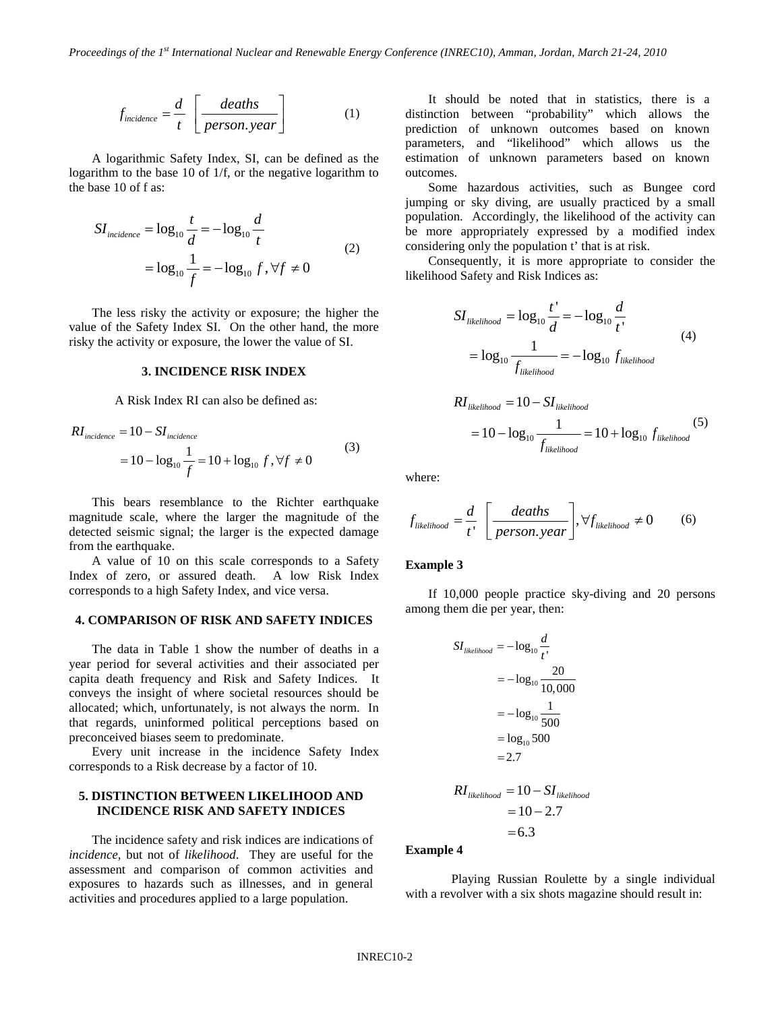$$
f_{incidence} = \frac{d}{t} \left[ \frac{deaths}{person. year} \right] \tag{1}
$$

A logarithmic Safety Index, SI, can be defined as the logarithm to the base 10 of 1/f, or the negative logarithm to the base 10 of f as:

$$
SI_{incidence} = \log_{10} \frac{t}{d} = -\log_{10} \frac{d}{t}
$$
  
=  $\log_{10} \frac{1}{f} = -\log_{10} f, \forall f \neq 0$  (2)

The less risky the activity or exposure; the higher the value of the Safety Index SI. On the other hand, the more risky the activity or exposure, the lower the value of SI.

### **3. INCIDENCE RISK INDEX**

A Risk Index RI can also be defined as:

$$
RI_{incidence} = 10 - SI_{incidence}
$$
  
= 10 - log<sub>10</sub>  $\frac{1}{f}$  = 10 + log<sub>10</sub> f,  $\forall f \neq 0$  (3)

This bears resemblance to the Richter earthquake magnitude scale, where the larger the magnitude of the detected seismic signal; the larger is the expected damage from the earthquake.

A value of 10 on this scale corresponds to a Safety Index of zero, or assured death. A low Risk Index corresponds to a high Safety Index, and vice versa.

#### **4. COMPARISON OF RISK AND SAFETY INDICES**

The data in Table 1 show the number of deaths in a year period for several activities and their associated per capita death frequency and Risk and Safety Indices. It conveys the insight of where societal resources should be allocated; which, unfortunately, is not always the norm. In that regards, uninformed political perceptions based on preconceived biases seem to predominate.

Every unit increase in the incidence Safety Index corresponds to a Risk decrease by a factor of 10.

## **5. DISTINCTION BETWEEN LIKELIHOOD AND INCIDENCE RISK AND SAFETY INDICES**

The incidence safety and risk indices are indications of *incidence,* but not of *likelihood*. They are useful for the assessment and comparison of common activities and exposures to hazards such as illnesses, and in general activities and procedures applied to a large population.

It should be noted that in statistics, there is a distinction between "probability" which allows the prediction of unknown outcomes based on known parameters, and "likelihood" which allows us the estimation of unknown parameters based on known outcomes.

Some hazardous activities, such as Bungee cord jumping or sky diving, are usually practiced by a small population. Accordingly, the likelihood of the activity can be more appropriately expressed by a modified index considering only the population t' that is at risk.

Consequently, it is more appropriate to consider the likelihood Safety and Risk Indices as:

$$
SI_{likelihood} = \log_{10} \frac{t'}{d} = -\log_{10} \frac{d}{t'}
$$
  
=  $\log_{10} \frac{1}{f_{likelihood}}$  =  $-\log_{10} f_{likelihood}$  (4)

$$
RI_{likelihood} = 10 - SI_{likelihood}
$$
  
= 10 - log<sub>10</sub>  $\frac{1}{f_{likelihood}}$  = 10 + log<sub>10</sub>  $f_{likelihood}$  (5)

where:

$$
f_{likelihood} = \frac{d}{t'} \left[ \frac{deaths}{person.year} \right], \forall f_{likelihood} \neq 0 \tag{6}
$$

#### **Example 3**

If 10,000 people practice sky-diving and 20 persons among them die per year, then:

$$
SI_{likelihood} = -\log_{10} \frac{d}{t}
$$

$$
= -\log_{10} \frac{20}{10,000}
$$

$$
= -\log_{10} \frac{1}{500}
$$

$$
= \log_{10} 500
$$

$$
= 2.7
$$

$$
RI_{likelihood} = 10 - SI_{likelihood}
$$

 $= 10 - 2.7$  $= 6.3$ 

**Example 4**

Playing Russian Roulette by a single individual with a revolver with a six shots magazine should result in: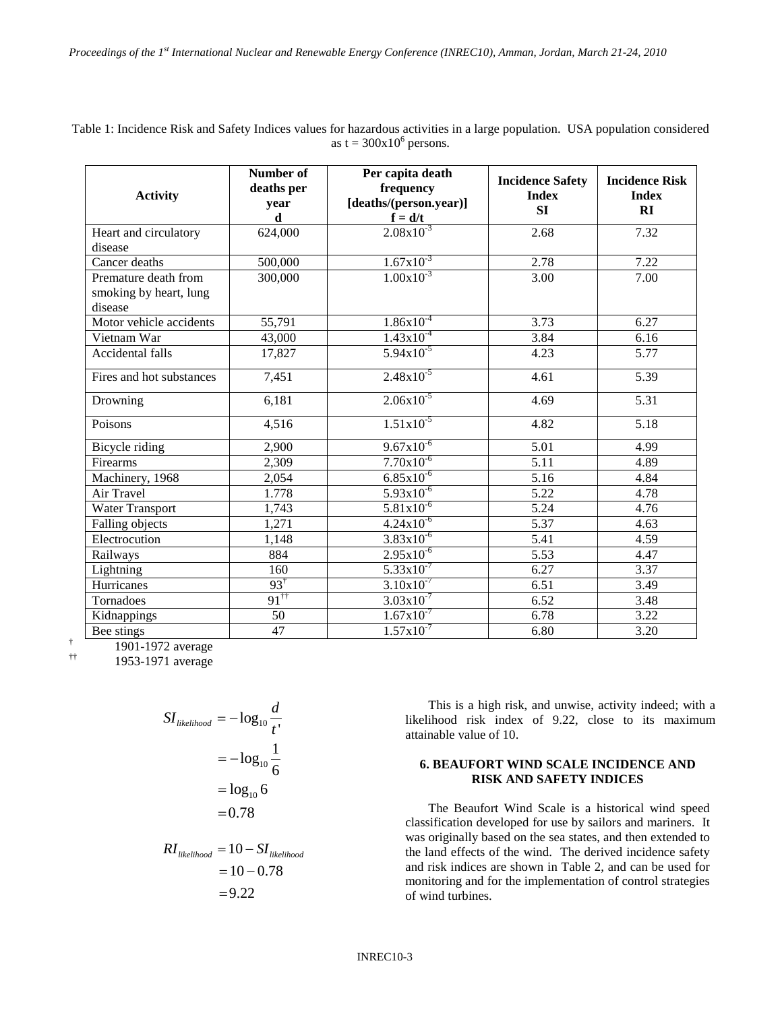Table 1: Incidence Risk and Safety Indices values for hazardous activities in a large population. USA population considered as  $t = 300x10^6$  persons.

| <b>Activity</b>                   | <b>Number of</b><br>deaths per<br>year<br>d | Per capita death<br>frequency<br>[deaths/(person.year)]<br>$f = d/t$ | <b>Incidence Safety</b><br><b>Index</b><br>SI | <b>Incidence Risk</b><br><b>Index</b><br>RI |
|-----------------------------------|---------------------------------------------|----------------------------------------------------------------------|-----------------------------------------------|---------------------------------------------|
| Heart and circulatory             | 624,000                                     | $2.08x10^{-3}$                                                       | 2.68                                          | 7.32                                        |
| disease                           |                                             |                                                                      |                                               |                                             |
| Cancer deaths                     | 500,000                                     | $1.67x10^{-3}$                                                       | 2.78                                          | 7.22                                        |
| Premature death from              | 300,000                                     | $1.00x10^{-3}$                                                       | 3.00                                          | 7.00                                        |
| smoking by heart, lung<br>disease |                                             |                                                                      |                                               |                                             |
| Motor vehicle accidents           | 55,791                                      | $1.86x10^{-4}$                                                       | 3.73                                          | 6.27                                        |
| Vietnam War                       | 43,000                                      | $1.43x10^{-4}$                                                       | 3.84                                          | 6.16                                        |
| Accidental falls                  | 17,827                                      | $5.94x10^{-5}$                                                       | 4.23                                          | 5.77                                        |
| Fires and hot substances          | 7,451                                       | $2.48x10^{-5}$                                                       | 4.61                                          | 5.39                                        |
| Drowning                          | 6,181                                       | $2.06x10^{-5}$                                                       | 4.69                                          | 5.31                                        |
| Poisons                           | 4,516                                       | $1.51x10^{-5}$                                                       | 4.82                                          | 5.18                                        |
| Bicycle riding                    | 2,900                                       | $9.67x10^{-6}$                                                       | $\overline{5.01}$                             | 4.99                                        |
| Firearms                          | 2,309                                       | $7.70x10^{-6}$                                                       | 5.11                                          | 4.89                                        |
| Machinery, 1968                   | 2,054                                       | $6.85x10^{-6}$                                                       | 5.16                                          | 4.84                                        |
| Air Travel                        | 1.778                                       | $5.93x10^{-6}$                                                       | 5.22                                          | 4.78                                        |
| Water Transport                   | 1,743                                       | $5.81x10^{-6}$                                                       | $\overline{5.24}$                             | 4.76                                        |
| Falling objects                   | 1,271                                       | $4.24x10^{-6}$                                                       | $\overline{5.37}$                             | 4.63                                        |
| Electrocution                     | 1,148                                       | $3.83 \times 10^{-6}$                                                | 5.41                                          | 4.59                                        |
| Railways                          | 884                                         | $2.95x10^{-6}$                                                       | 5.53                                          | 4.47                                        |
| Lightning                         | 160                                         | $5.33 \times 10^{-7}$                                                | 6.27                                          | 3.37                                        |
| Hurricanes                        | $93^{\dagger}$                              | $3.10x10^{-7}$                                                       | 6.51                                          | 3.49                                        |
| Tornadoes                         | $91^{\dagger\dagger}$                       | $3.03x10^{-7}$                                                       | 6.52                                          | 3.48                                        |
| Kidnappings                       | 50                                          | $1.67 \times 10^{-7}$                                                | 6.78                                          | 3.22                                        |
| Bee stings                        | 47                                          | $1.57 \times 10^{-7}$                                                | 6.80                                          | 3.20                                        |

 $\frac{1901-1972}{1052-1071}$  average

†† 1953-1971 average

$$
SI_{likelihood} = -\log_{10} \frac{d}{t},
$$

$$
= -\log_{10} \frac{1}{6}
$$

$$
= \log_{10} 6
$$

$$
= 0.78
$$

$$
RIlikelihood = 10 - SIlikelihood
$$
  
= 10 - 0.78  
= 9.22

This is a high risk, and unwise, activity indeed; with a likelihood risk index of 9.22, close to its maximum attainable value of 10.

## **6. BEAUFORT WIND SCALE INCIDENCE AND RISK AND SAFETY INDICES**

The Beaufort Wind Scale is a historical wind speed classification developed for use by sailors and mariners. It was originally based on the sea states, and then extended to the land effects of the wind. The derived incidence safety and risk indices are shown in Table 2, and can be used for monitoring and for the implementation of control strategies of wind turbines.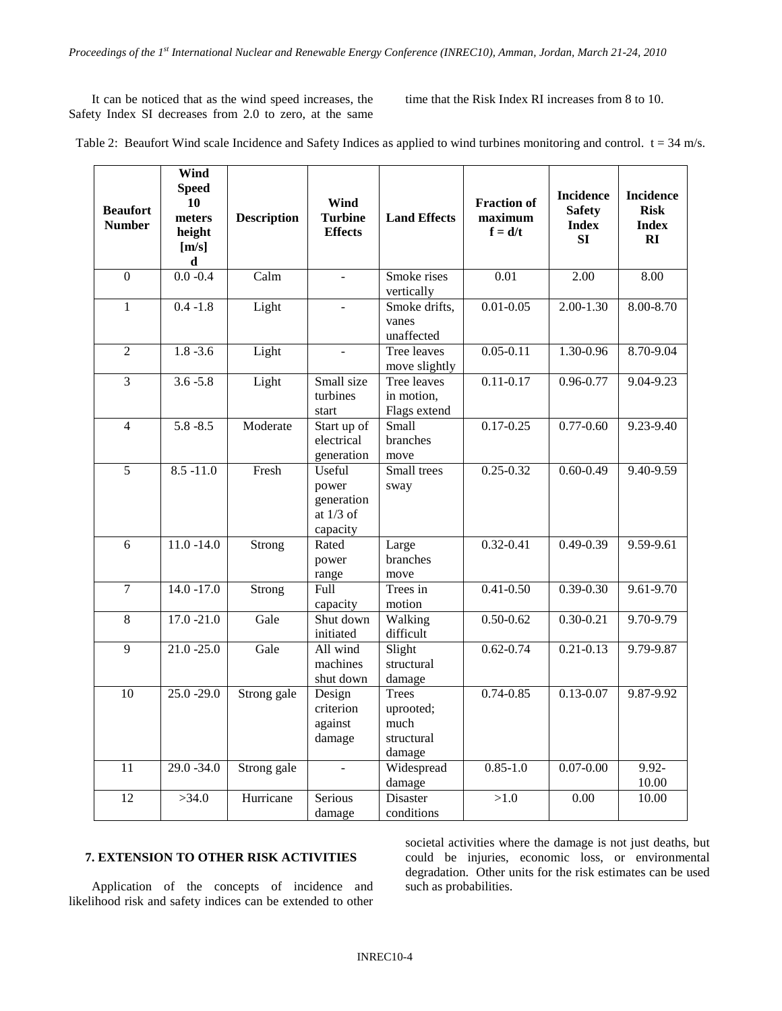It can be noticed that as the wind speed increases, the Safety Index SI decreases from 2.0 to zero, at the same time that the Risk Index RI increases from 8 to 10.

| Table 2: Beaufort Wind scale Incidence and Safety Indices as applied to wind turbines monitoring and control. $t = 34$ m/s. |  |  |
|-----------------------------------------------------------------------------------------------------------------------------|--|--|
|-----------------------------------------------------------------------------------------------------------------------------|--|--|

| <b>Beaufort</b><br><b>Number</b> | Wind<br><b>Speed</b><br>10<br>meters<br>height<br>[m/s]<br>d | <b>Description</b> | Wind<br><b>Turbine</b><br><b>Effects</b>                 | <b>Land Effects</b>                                       | <b>Fraction of</b><br>maximum<br>$f = d/t$ | <b>Incidence</b><br><b>Safety</b><br><b>Index</b><br><b>SI</b> | <b>Incidence</b><br><b>Risk</b><br><b>Index</b><br>RI |
|----------------------------------|--------------------------------------------------------------|--------------------|----------------------------------------------------------|-----------------------------------------------------------|--------------------------------------------|----------------------------------------------------------------|-------------------------------------------------------|
| $\overline{0}$                   | $0.0 - 0.4$                                                  | Calm               | $\mathbf{r}$                                             | Smoke rises<br>vertically                                 | 0.01                                       | $\overline{2.00}$                                              | 8.00                                                  |
| $\mathbf{1}$                     | $0.4 - 1.8$                                                  | Light              |                                                          | Smoke drifts,<br>vanes<br>unaffected                      | $0.01 - 0.05$                              | $2.00 - 1.30$                                                  | $8.00 - 8.70$                                         |
| $\overline{c}$                   | $1.8 - 3.6$                                                  | Light              | ÷.                                                       | Tree leaves<br>move slightly                              | $0.05 - 0.11$                              | 1.30-0.96                                                      | 8.70-9.04                                             |
| $\overline{3}$                   | $3.6 - 5.8$                                                  | Light              | Small size<br>turbines<br>start                          | Tree leaves<br>in motion,<br>Flags extend                 | $0.11 - 0.17$                              | $0.96 - 0.77$                                                  | 9.04-9.23                                             |
| $\overline{4}$                   | $5.8 - 8.5$                                                  | Moderate           | Start up of<br>electrical<br>generation                  | Small<br>branches<br>move                                 | $0.17 - 0.25$                              | $0.77 - 0.60$                                                  | 9.23-9.40                                             |
| 5                                | $8.5 - 11.0$                                                 | Fresh              | Useful<br>power<br>generation<br>at $1/3$ of<br>capacity | Small trees<br>sway                                       | $0.25 - 0.32$                              | $0.60 - 0.49$                                                  | 9.40-9.59                                             |
| 6                                | $11.0 - 14.0$                                                | Strong             | Rated<br>power<br>range                                  | Large<br>branches<br>move                                 | $0.32 - 0.41$                              | $0.49 - 0.39$                                                  | 9.59-9.61                                             |
| $\overline{7}$                   | $14.0 - 17.0$                                                | Strong             | Full<br>capacity                                         | Trees in<br>motion                                        | $0.41 - 0.50$                              | $0.39 - 0.30$                                                  | 9.61-9.70                                             |
| $8\,$                            | $17.0 - 21.0$                                                | Gale               | Shut down<br>initiated                                   | Walking<br>difficult                                      | $0.50 - 0.62$                              | $0.30 - 0.21$                                                  | 9.70-9.79                                             |
| 9                                | $21.0 - 25.0$                                                | Gale               | All wind<br>machines<br>shut down                        | Slight<br>structural<br>damage                            | $0.62 - 0.74$                              | $0.21 - 0.13$                                                  | 9.79-9.87                                             |
| 10                               | $25.0 - 29.0$                                                | Strong gale        | Design<br>criterion<br>against<br>damage                 | <b>Trees</b><br>uprooted;<br>much<br>structural<br>damage | $0.74 - 0.85$                              | $0.13 - 0.07$                                                  | 9.87-9.92                                             |
| 11                               | $29.0 - 34.0$                                                | Strong gale        | $\mathbf{r}$                                             | Widespread<br>damage                                      | $0.85 - 1.0$                               | $0.07 - 0.00$                                                  | $9.92 -$<br>10.00                                     |
| 12                               | >34.0                                                        | Hurricane          | Serious<br>damage                                        | Disaster<br>conditions                                    | $>1.0$                                     | 0.00                                                           | 10.00                                                 |

## **7. EXTENSION TO OTHER RISK ACTIVITIES**

Application of the concepts of incidence and likelihood risk and safety indices can be extended to other

societal activities where the damage is not just deaths, but could be injuries, economic loss, or environmental degradation. Other units for the risk estimates can be used such as probabilities.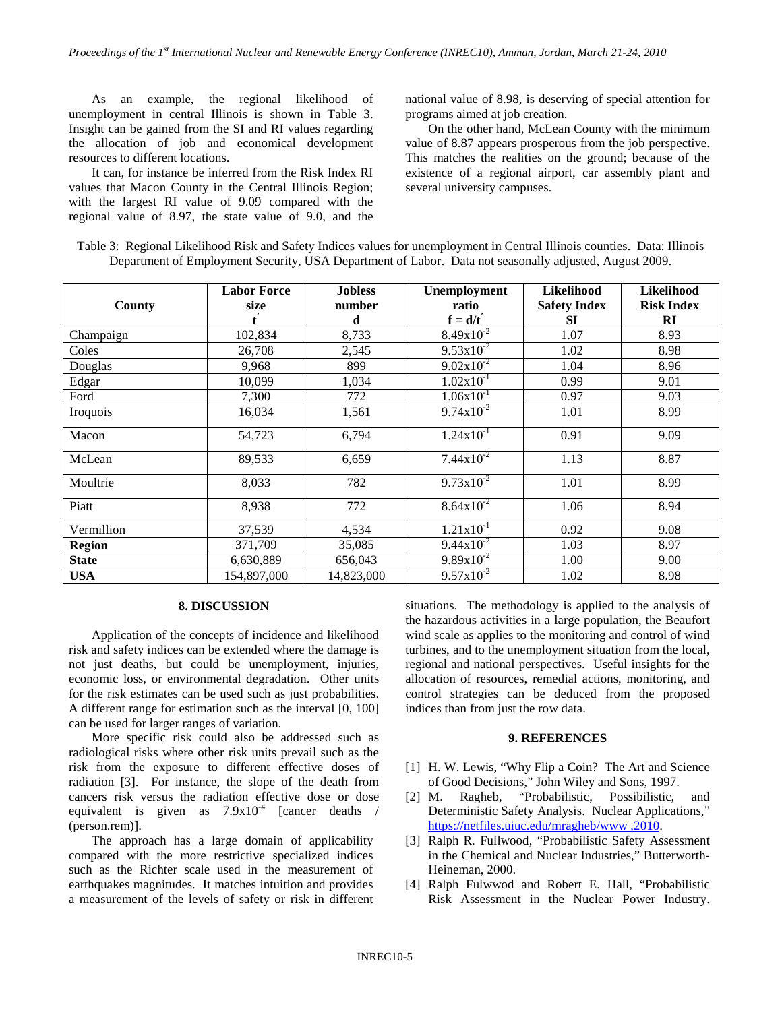As an example, the regional likelihood of unemployment in central Illinois is shown in Table 3. Insight can be gained from the SI and RI values regarding the allocation of job and economical development resources to different locations.

It can, for instance be inferred from the Risk Index RI values that Macon County in the Central Illinois Region; with the largest RI value of 9.09 compared with the regional value of 8.97, the state value of 9.0, and the

national value of 8.98, is deserving of special attention for programs aimed at job creation.

On the other hand, McLean County with the minimum value of 8.87 appears prosperous from the job perspective. This matches the realities on the ground; because of the existence of a regional airport, car assembly plant and several university campuses.

| Table 3: Regional Likelihood Risk and Safety Indices values for unemployment in Central Illinois counties. Data: Illinois |  |
|---------------------------------------------------------------------------------------------------------------------------|--|
| Department of Employment Security, USA Department of Labor. Data not seasonally adjusted, August 2009.                    |  |

| County        | <b>Labor Force</b><br>size | <b>Jobless</b><br>number | Unemployment<br>ratio | <b>Likelihood</b><br><b>Safety Index</b> | <b>Likelihood</b><br><b>Risk Index</b> |
|---------------|----------------------------|--------------------------|-----------------------|------------------------------------------|----------------------------------------|
|               |                            | d                        | $f = d/t'$            | SI                                       | RI                                     |
| Champaign     | 102,834                    | 8,733                    | $8.49x10^{-2}$        | 1.07                                     | 8.93                                   |
| Coles         | 26,708                     | 2,545                    | $9.53 \times 10^{-2}$ | 1.02                                     | 8.98                                   |
| Douglas       | 9,968                      | 899                      | $9.02 \times 10^{-2}$ | 1.04                                     | 8.96                                   |
| Edgar         | 10,099                     | 1,034                    | $1.02 \times 10^{-1}$ | 0.99                                     | 9.01                                   |
| Ford          | 7,300                      | 772                      | $1.06x10^{-1}$        | 0.97                                     | 9.03                                   |
| Iroquois      | 16,034                     | 1,561                    | $9.74 \times 10^{-2}$ | 1.01                                     | 8.99                                   |
| Macon         | 54,723                     | 6,794                    | $1.24 \times 10^{-1}$ | 0.91                                     | 9.09                                   |
| McLean        | 89,533                     | 6,659                    | $7.44 \times 10^{-2}$ | 1.13                                     | 8.87                                   |
| Moultrie      | 8,033                      | 782                      | $9.73 \times 10^{-2}$ | 1.01                                     | 8.99                                   |
| Piatt         | 8,938                      | 772                      | $8.64 \times 10^{-2}$ | 1.06                                     | 8.94                                   |
| Vermillion    | 37,539                     | 4,534                    | $1.21 \times 10^{-1}$ | 0.92                                     | 9.08                                   |
| <b>Region</b> | 371,709                    | 35,085                   | $9.44 \times 10^{-2}$ | 1.03                                     | 8.97                                   |
| <b>State</b>  | 6,630,889                  | 656,043                  | $9.89x10^{-2}$        | 1.00                                     | 9.00                                   |
| <b>USA</b>    | 154,897,000                | 14,823,000               | $9.57 \times 10^{-2}$ | 1.02                                     | 8.98                                   |

#### **8. DISCUSSION**

Application of the concepts of incidence and likelihood risk and safety indices can be extended where the damage is not just deaths, but could be unemployment, injuries, economic loss, or environmental degradation. Other units for the risk estimates can be used such as just probabilities. A different range for estimation such as the interval [0, 100] can be used for larger ranges of variation.

More specific risk could also be addressed such as radiological risks where other risk units prevail such as the risk from the exposure to different effective doses of radiation [3]. For instance, the slope of the death from cancers risk versus the radiation effective dose or dose equivalent is given as  $7.9x10^{-4}$  [cancer deaths / (person.rem)].

The approach has a large domain of applicability compared with the more restrictive specialized indices such as the Richter scale used in the measurement of earthquakes magnitudes. It matches intuition and provides a measurement of the levels of safety or risk in different

situations. The methodology is applied to the analysis of the hazardous activities in a large population, the Beaufort wind scale as applies to the monitoring and control of wind turbines, and to the unemployment situation from the local, regional and national perspectives. Useful insights for the allocation of resources, remedial actions, monitoring, and control strategies can be deduced from the proposed indices than from just the row data.

#### **9. REFERENCES**

- [1] H. W. Lewis, "Why Flip a Coin? The Art and Science of Good Decisions," John Wiley and Sons, 1997.
- [2] M. Ragheb, "Probabilistic, Possibilistic, and Deterministic Safety Analysis. Nuclear Applications," [https://netfiles.uiuc.edu/mragheb/www ,2010.](https://netfiles.uiuc.edu/mragheb/www%20,2010)
- [3] Ralph R. Fullwood, "Probabilistic Safety Assessment in the Chemical and Nuclear Industries," Butterworth-Heineman, 2000.
- [4] Ralph Fulwwod and Robert E. Hall, "Probabilistic Risk Assessment in the Nuclear Power Industry.